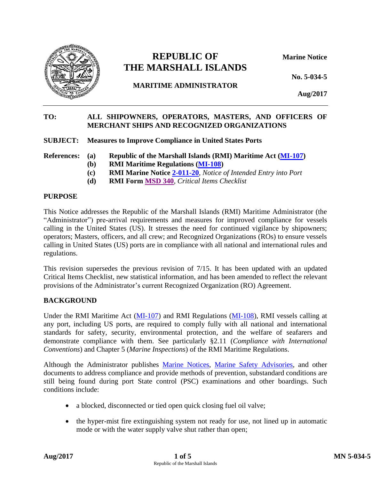

# **REPUBLIC OF Marine Notice THE MARSHALL ISLANDS**

**MARITIME ADMINISTRATOR**

**Aug/2017**

**No. 5-034-5**

## **TO: ALL SHIPOWNERS, OPERATORS, MASTERS, AND OFFICERS OF MERCHANT SHIPS AND RECOGNIZED ORGANIZATIONS**

**SUBJECT: Measures to Improve Compliance in United States Ports**

**References: (a) Republic of the Marshall Islands (RMI) Maritime Act [\(MI-107\)](http://www.register-iri.com/forms/upload/MI-107.pdf)**

- **(b) RMI Maritime Regulations [\(MI-108\)](http://www.register-iri.com/forms/upload/MI-108.pdf)**
- **(c) RMI Marine Notice [2-011-20](http://www.register-iri.com/forms/upload/MN-2-011-20.pdf)***, Notice of Intended Entry into Port*
- **(d) RMI Form [MSD 340](https://www.register-iri.com/wp-content/uploads/MSD-340-Critical-Items-Checklist.doc)***, Critical Items Checklist*

## **PURPOSE**

This Notice addresses the Republic of the Marshall Islands (RMI) Maritime Administrator (the "Administrator") pre-arrival requirements and measures for improved compliance for vessels calling in the United States (US). It stresses the need for continued vigilance by shipowners; operators; Masters, officers, and all crew; and Recognized Organizations (ROs) to ensure vessels calling in United States (US) ports are in compliance with all national and international rules and regulations.

This revision supersedes the previous revision of 7/15. It has been updated with an updated Critical Items Checklist, new statistical information, and has been amended to reflect the relevant provisions of the Administrator's current Recognized Organization (RO) Agreement.

## **BACKGROUND**

Under the RMI Maritime Act [\(MI-107\)](http://www.register-iri.com/forms/upload/MI-107.pdf) and RMI Regulations [\(MI-108\)](http://www.register-iri.com/forms/upload/MI-108.pdf), RMI vessels calling at any port, including US ports, are required to comply fully with all national and international standards for safety, security, environmental protection, and the welfare of seafarers and demonstrate compliance with them. See particularly §2.11 (*Compliance with International Conventions*) and Chapter 5 (*Marine Inspections*) of the RMI Maritime Regulations.

Although the Administrator publishes [Marine Notices,](https://www.register-iri.com/library/?fwp_new_primary_filter=maritime&fwp_maritime_facet=marine-notices) [Marine Safety Advisories,](https://www.register-iri.com/library/?fwp_new_primary_filter=maritime&fwp_maritime_facet=marine-safety-advisories) and other documents to address compliance and provide methods of prevention, substandard conditions are still being found during port State control (PSC) examinations and other boardings. Such conditions include:

- a blocked, disconnected or tied open quick closing fuel oil valve;
- the hyper-mist fire extinguishing system not ready for use, not lined up in automatic mode or with the water supply valve shut rather than open;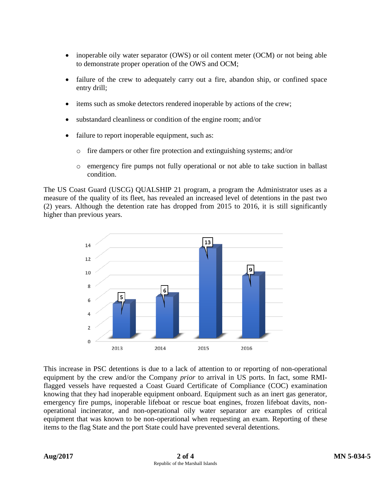- inoperable oily water separator (OWS) or oil content meter (OCM) or not being able to demonstrate proper operation of the OWS and OCM;
- failure of the crew to adequately carry out a fire, abandon ship, or confined space entry drill;
- items such as smoke detectors rendered inoperable by actions of the crew;
- substandard cleanliness or condition of the engine room; and/or
- failure to report inoperable equipment, such as:
	- o fire dampers or other fire protection and extinguishing systems; and/or
	- o emergency fire pumps not fully operational or not able to take suction in ballast condition.

The US Coast Guard (USCG) QUALSHIP 21 program, a program the Administrator uses as a measure of the quality of its fleet, has revealed an increased level of detentions in the past two (2) years. Although the detention rate has dropped from 2015 to 2016, it is still significantly higher than previous years.



This increase in PSC detentions is due to a lack of attention to or reporting of non-operational equipment by the crew and/or the Company *prior* to arrival in US ports. In fact, some RMIflagged vessels have requested a Coast Guard Certificate of Compliance (COC) examination knowing that they had inoperable equipment onboard. Equipment such as an inert gas generator, emergency fire pumps, inoperable lifeboat or rescue boat engines, frozen lifeboat davits, nonoperational incinerator, and non-operational oily water separator are examples of critical equipment that was known to be non-operational when requesting an exam. Reporting of these items to the flag State and the port State could have prevented several detentions.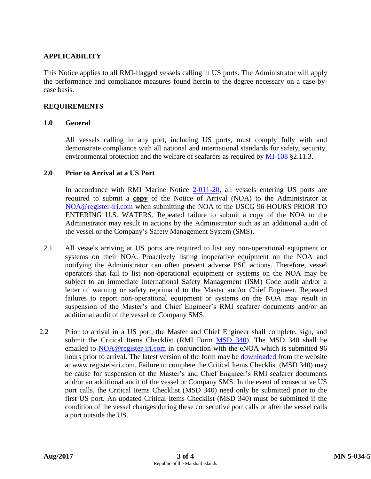## **APPLICABILITY**

This Notice applies to all RMI-flagged vessels calling in US ports. The Administrator will apply the performance and compliance measures found herein to the degree necessary on a case-bycase basis.

### **REQUIREMENTS**

#### **1.0 General**

All vessels calling in any port, including US ports, must comply fully with and demonstrate compliance with all national and international standards for safety, security, environmental protection and the welfare of seafarers as required by [MI-108](http://www.register-iri.com/forms/upload/MI-108.pdf) §2.11.3.

#### **2.0 Prior to Arrival at a US Port**

In accordance with RMI Marine Notice [2-011-20,](http://www.register-iri.com/forms/upload/MN-2-011-20.pdf) all vessels entering US ports are required to submit a **copy** of the Notice of Arrival (NOA) to the Administrator at [NOA@register-iri.com](mailto:NOA@register-iri.com) when submitting the NOA to the USCG 96 HOURS PRIOR TO ENTERING U.S. WATERS. Repeated failure to submit a copy of the NOA to the Administrator may result in actions by the Administrator such as an additional audit of the vessel or the Company's Safety Management System (SMS).

- 2.1 All vessels arriving at US ports are required to list any non-operational equipment or systems on their NOA. Proactively listing inoperative equipment on the NOA and notifying the Administrator can often prevent adverse PSC actions. Therefore, vessel operators that fail to list non-operational equipment or systems on the NOA may be subject to an immediate International Safety Management (ISM) Code audit and/or a letter of warning or safety reprimand to the Master and/or Chief Engineer. Repeated failures to report non-operational equipment or systems on the NOA may result in suspension of the Master's and Chief Engineer's RMI seafarer documents and/or an additional audit of the vessel or Company SMS.
- 2.2 Prior to arrival in a US port, the Master and Chief Engineer shall complete, sign, and submit the Critical Items Checklist (RMI Form [MSD 340\)](https://www.register-iri.com/wp-content/uploads/MSD-340-Critical-Items-Checklist.doc). The MSD 340 shall be emailed to [NOA@register-iri.com](mailto:NOA@register-iri.com) in conjunction with the eNOA which is submitted 96 hours prior to arrival. The latest version of the form may be [downloaded](https://www.register-iri.com/wp-content/uploads/MSD-340-Critical-Items-Checklist.doc) from the website at www.register-iri.com. Failure to complete the Critical Items Checklist (MSD 340) may be cause for suspension of the Master's and Chief Engineer's RMI seafarer documents and/or an additional audit of the vessel or Company SMS. In the event of consecutive US port calls, the Critical Items Checklist (MSD 340) need only be submitted prior to the first US port. An updated Critical Items Checklist (MSD 340) must be submitted if the condition of the vessel changes during these consecutive port calls or after the vessel calls a port outside the US.